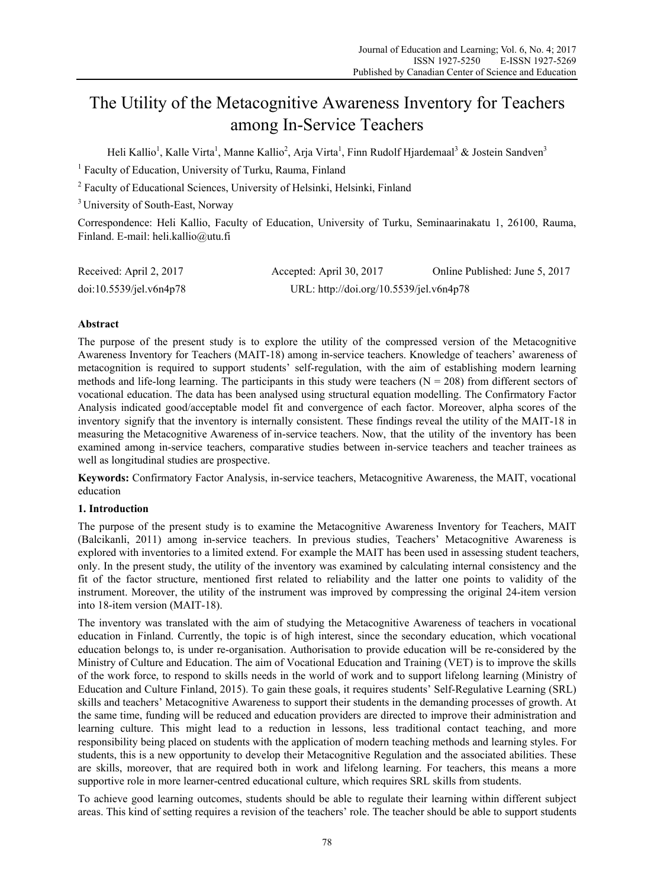# The Utility of the Metacognitive Awareness Inventory for Teachers among In-Service Teachers

Heli Kallio<sup>1</sup>, Kalle Virta<sup>1</sup>, Manne Kallio<sup>2</sup>, Arja Virta<sup>1</sup>, Finn Rudolf Hjardemaal<sup>3</sup> & Jostein Sandven<sup>3</sup>

<sup>1</sup> Faculty of Education, University of Turku, Rauma, Finland

<sup>2</sup> Faculty of Educational Sciences, University of Helsinki, Helsinki, Finland

<sup>3</sup> University of South-East, Norway

Correspondence: Heli Kallio, Faculty of Education, University of Turku, Seminaarinakatu 1, 26100, Rauma, Finland. E-mail: heli.kallio@utu.fi

| Received: April 2, 2017 | Accepted: April 30, 2017                | Online Published: June 5, 2017 |
|-------------------------|-----------------------------------------|--------------------------------|
| doi:10.5539/jel.v6n4p78 | URL: http://doi.org/10.5539/jel.v6n4p78 |                                |

# **Abstract**

The purpose of the present study is to explore the utility of the compressed version of the Metacognitive Awareness Inventory for Teachers (MAIT-18) among in-service teachers. Knowledge of teachers' awareness of metacognition is required to support students' self-regulation, with the aim of establishing modern learning methods and life-long learning. The participants in this study were teachers  $(N = 208)$  from different sectors of vocational education. The data has been analysed using structural equation modelling. The Confirmatory Factor Analysis indicated good/acceptable model fit and convergence of each factor. Moreover, alpha scores of the inventory signify that the inventory is internally consistent. These findings reveal the utility of the MAIT-18 in measuring the Metacognitive Awareness of in-service teachers. Now, that the utility of the inventory has been examined among in-service teachers, comparative studies between in-service teachers and teacher trainees as well as longitudinal studies are prospective.

**Keywords:** Confirmatory Factor Analysis, in-service teachers, Metacognitive Awareness, the MAIT, vocational education

# **1. Introduction**

The purpose of the present study is to examine the Metacognitive Awareness Inventory for Teachers, MAIT (Balcikanli, 2011) among in-service teachers. In previous studies, Teachers' Metacognitive Awareness is explored with inventories to a limited extend. For example the MAIT has been used in assessing student teachers, only. In the present study, the utility of the inventory was examined by calculating internal consistency and the fit of the factor structure, mentioned first related to reliability and the latter one points to validity of the instrument. Moreover, the utility of the instrument was improved by compressing the original 24-item version into 18-item version (MAIT-18).

The inventory was translated with the aim of studying the Metacognitive Awareness of teachers in vocational education in Finland. Currently, the topic is of high interest, since the secondary education, which vocational education belongs to, is under re-organisation. Authorisation to provide education will be re-considered by the Ministry of Culture and Education. The aim of Vocational Education and Training (VET) is to improve the skills of the work force, to respond to skills needs in the world of work and to support lifelong learning (Ministry of Education and Culture Finland, 2015). To gain these goals, it requires students' Self-Regulative Learning (SRL) skills and teachers' Metacognitive Awareness to support their students in the demanding processes of growth. At the same time, funding will be reduced and education providers are directed to improve their administration and learning culture. This might lead to a reduction in lessons, less traditional contact teaching, and more responsibility being placed on students with the application of modern teaching methods and learning styles. For students, this is a new opportunity to develop their Metacognitive Regulation and the associated abilities. These are skills, moreover, that are required both in work and lifelong learning. For teachers, this means a more supportive role in more learner-centred educational culture, which requires SRL skills from students.

To achieve good learning outcomes, students should be able to regulate their learning within different subject areas. This kind of setting requires a revision of the teachers' role. The teacher should be able to support students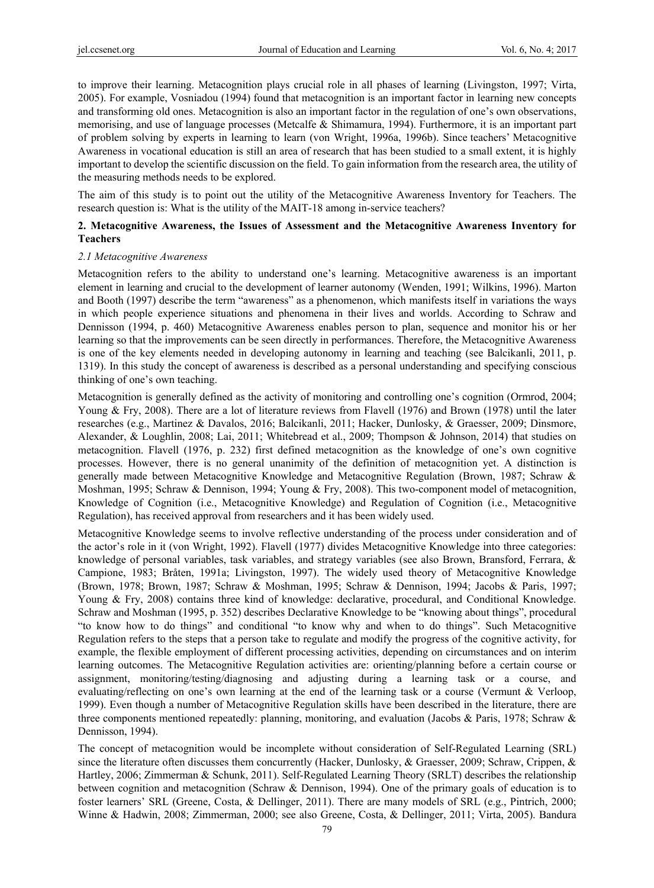to improve their learning. Metacognition plays crucial role in all phases of learning (Livingston, 1997; Virta, 2005). For example, Vosniadou (1994) found that metacognition is an important factor in learning new concepts and transforming old ones. Metacognition is also an important factor in the regulation of one's own observations, memorising, and use of language processes (Metcalfe & Shimamura, 1994). Furthermore, it is an important part of problem solving by experts in learning to learn (von Wright, 1996a, 1996b). Since teachers' Metacognitive Awareness in vocational education is still an area of research that has been studied to a small extent, it is highly important to develop the scientific discussion on the field. To gain information from the research area, the utility of the measuring methods needs to be explored.

The aim of this study is to point out the utility of the Metacognitive Awareness Inventory for Teachers. The research question is: What is the utility of the MAIT-18 among in-service teachers?

## **2. Metacognitive Awareness, the Issues of Assessment and the Metacognitive Awareness Inventory for Teachers**

### *2.1 Metacognitive Awareness*

Metacognition refers to the ability to understand one's learning. Metacognitive awareness is an important element in learning and crucial to the development of learner autonomy (Wenden, 1991; Wilkins, 1996). Marton and Booth (1997) describe the term "awareness" as a phenomenon, which manifests itself in variations the ways in which people experience situations and phenomena in their lives and worlds. According to Schraw and Dennisson (1994, p. 460) Metacognitive Awareness enables person to plan, sequence and monitor his or her learning so that the improvements can be seen directly in performances. Therefore, the Metacognitive Awareness is one of the key elements needed in developing autonomy in learning and teaching (see Balcikanli, 2011, p. 1319). In this study the concept of awareness is described as a personal understanding and specifying conscious thinking of one's own teaching.

Metacognition is generally defined as the activity of monitoring and controlling one's cognition (Ormrod, 2004; Young & Fry, 2008). There are a lot of literature reviews from Flavell (1976) and Brown (1978) until the later researches (e.g., Martinez & Davalos, 2016; Balcikanli, 2011; Hacker, Dunlosky, & Graesser, 2009; Dinsmore, Alexander, & Loughlin, 2008; Lai, 2011; Whitebread et al., 2009; Thompson & Johnson, 2014) that studies on metacognition. Flavell (1976, p. 232) first defined metacognition as the knowledge of one's own cognitive processes. However, there is no general unanimity of the definition of metacognition yet. A distinction is generally made between Metacognitive Knowledge and Metacognitive Regulation (Brown, 1987; Schraw & Moshman, 1995; Schraw & Dennison, 1994; Young & Fry, 2008). This two-component model of metacognition, Knowledge of Cognition (i.e., Metacognitive Knowledge) and Regulation of Cognition (i.e., Metacognitive Regulation), has received approval from researchers and it has been widely used.

Metacognitive Knowledge seems to involve reflective understanding of the process under consideration and of the actor's role in it (von Wright, 1992). Flavell (1977) divides Metacognitive Knowledge into three categories: knowledge of personal variables, task variables, and strategy variables (see also Brown, Bransford, Ferrara, & Campione, 1983; Bråten, 1991a; Livingston, 1997). The widely used theory of Metacognitive Knowledge (Brown, 1978; Brown, 1987; Schraw & Moshman, 1995; Schraw & Dennison, 1994; Jacobs & Paris, 1997; Young & Fry, 2008) contains three kind of knowledge: declarative, procedural, and Conditional Knowledge. Schraw and Moshman (1995, p. 352) describes Declarative Knowledge to be "knowing about things", procedural "to know how to do things" and conditional "to know why and when to do things". Such Metacognitive Regulation refers to the steps that a person take to regulate and modify the progress of the cognitive activity, for example, the flexible employment of different processing activities, depending on circumstances and on interim learning outcomes. The Metacognitive Regulation activities are: orienting/planning before a certain course or assignment, monitoring/testing/diagnosing and adjusting during a learning task or a course, and evaluating/reflecting on one's own learning at the end of the learning task or a course (Vermunt & Verloop, 1999). Even though a number of Metacognitive Regulation skills have been described in the literature, there are three components mentioned repeatedly: planning, monitoring, and evaluation (Jacobs & Paris, 1978; Schraw & Dennisson, 1994).

The concept of metacognition would be incomplete without consideration of Self-Regulated Learning (SRL) since the literature often discusses them concurrently (Hacker, Dunlosky, & Graesser, 2009; Schraw, Crippen, & Hartley, 2006; Zimmerman & Schunk, 2011). Self-Regulated Learning Theory (SRLT) describes the relationship between cognition and metacognition (Schraw & Dennison, 1994). One of the primary goals of education is to foster learners' SRL (Greene, Costa, & Dellinger, 2011). There are many models of SRL (e.g., Pintrich, 2000; Winne & Hadwin, 2008; Zimmerman, 2000; see also Greene, Costa, & Dellinger, 2011; Virta, 2005). Bandura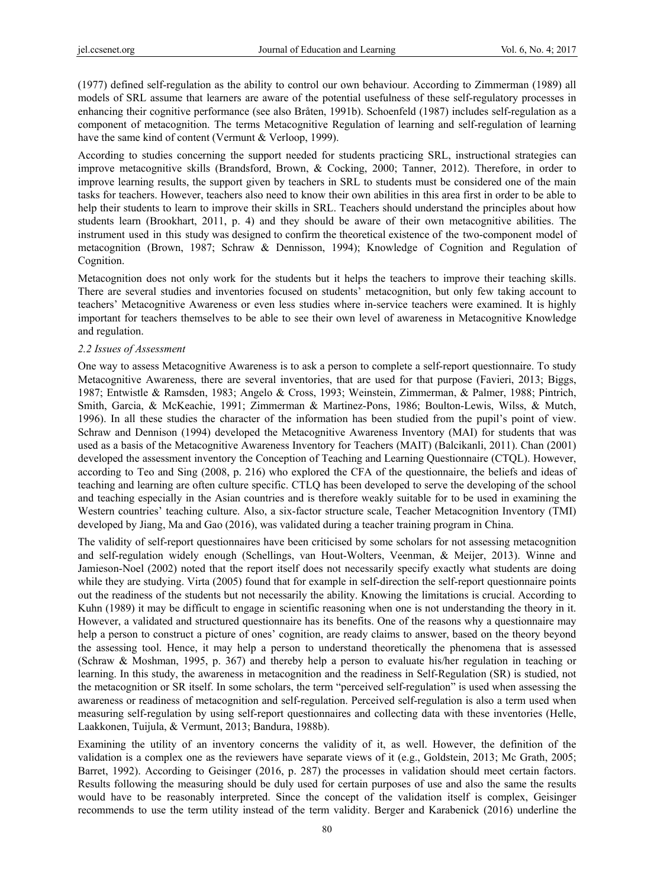(1977) defined self-regulation as the ability to control our own behaviour. According to Zimmerman (1989) all models of SRL assume that learners are aware of the potential usefulness of these self-regulatory processes in enhancing their cognitive performance (see also Bråten, 1991b). Schoenfeld (1987) includes self-regulation as a component of metacognition. The terms Metacognitive Regulation of learning and self-regulation of learning have the same kind of content (Vermunt & Verloop, 1999).

According to studies concerning the support needed for students practicing SRL, instructional strategies can improve metacognitive skills (Brandsford, Brown, & Cocking, 2000; Tanner, 2012). Therefore, in order to improve learning results, the support given by teachers in SRL to students must be considered one of the main tasks for teachers. However, teachers also need to know their own abilities in this area first in order to be able to help their students to learn to improve their skills in SRL. Teachers should understand the principles about how students learn (Brookhart, 2011, p. 4) and they should be aware of their own metacognitive abilities. The instrument used in this study was designed to confirm the theoretical existence of the two-component model of metacognition (Brown, 1987; Schraw & Dennisson, 1994); Knowledge of Cognition and Regulation of Cognition.

Metacognition does not only work for the students but it helps the teachers to improve their teaching skills. There are several studies and inventories focused on students' metacognition, but only few taking account to teachers' Metacognitive Awareness or even less studies where in-service teachers were examined. It is highly important for teachers themselves to be able to see their own level of awareness in Metacognitive Knowledge and regulation.

### *2.2 Issues of Assessment*

One way to assess Metacognitive Awareness is to ask a person to complete a self-report questionnaire. To study Metacognitive Awareness, there are several inventories, that are used for that purpose (Favieri, 2013; Biggs, 1987; Entwistle & Ramsden, 1983; Angelo & Cross, 1993; Weinstein, Zimmerman, & Palmer, 1988; Pintrich, Smith, Garcia, & McKeachie, 1991; Zimmerman & Martinez-Pons, 1986; Boulton-Lewis, Wilss, & Mutch, 1996). In all these studies the character of the information has been studied from the pupil's point of view. Schraw and Dennison (1994) developed the Metacognitive Awareness Inventory (MAI) for students that was used as a basis of the Metacognitive Awareness Inventory for Teachers (MAIT) (Balcikanli, 2011). Chan (2001) developed the assessment inventory the Conception of Teaching and Learning Questionnaire (CTQL). However, according to Teo and Sing (2008, p. 216) who explored the CFA of the questionnaire, the beliefs and ideas of teaching and learning are often culture specific. CTLQ has been developed to serve the developing of the school and teaching especially in the Asian countries and is therefore weakly suitable for to be used in examining the Western countries' teaching culture. Also, a six-factor structure scale, Teacher Metacognition Inventory (TMI) developed by Jiang, Ma and Gao (2016), was validated during a teacher training program in China.

The validity of self-report questionnaires have been criticised by some scholars for not assessing metacognition and self-regulation widely enough (Schellings, van Hout-Wolters, Veenman, & Meijer, 2013). Winne and Jamieson-Noel (2002) noted that the report itself does not necessarily specify exactly what students are doing while they are studying. Virta (2005) found that for example in self-direction the self-report questionnaire points out the readiness of the students but not necessarily the ability. Knowing the limitations is crucial. According to Kuhn (1989) it may be difficult to engage in scientific reasoning when one is not understanding the theory in it. However, a validated and structured questionnaire has its benefits. One of the reasons why a questionnaire may help a person to construct a picture of ones' cognition, are ready claims to answer, based on the theory beyond the assessing tool. Hence, it may help a person to understand theoretically the phenomena that is assessed (Schraw & Moshman, 1995, p. 367) and thereby help a person to evaluate his/her regulation in teaching or learning. In this study, the awareness in metacognition and the readiness in Self-Regulation (SR) is studied, not the metacognition or SR itself. In some scholars, the term "perceived self-regulation" is used when assessing the awareness or readiness of metacognition and self-regulation. Perceived self-regulation is also a term used when measuring self-regulation by using self-report questionnaires and collecting data with these inventories (Helle, Laakkonen, Tuijula, & Vermunt, 2013; Bandura, 1988b).

Examining the utility of an inventory concerns the validity of it, as well. However, the definition of the validation is a complex one as the reviewers have separate views of it (e.g., Goldstein, 2013; Mc Grath, 2005; Barret, 1992). According to Geisinger (2016, p. 287) the processes in validation should meet certain factors. Results following the measuring should be duly used for certain purposes of use and also the same the results would have to be reasonably interpreted. Since the concept of the validation itself is complex, Geisinger recommends to use the term utility instead of the term validity. Berger and Karabenick (2016) underline the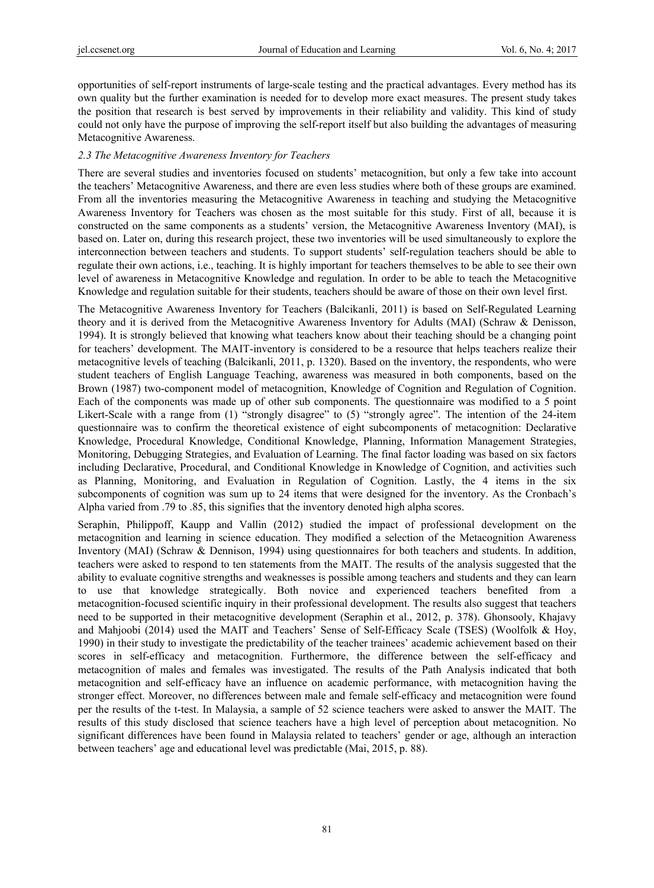opportunities of self-report instruments of large-scale testing and the practical advantages. Every method has its own quality but the further examination is needed for to develop more exact measures. The present study takes the position that research is best served by improvements in their reliability and validity. This kind of study could not only have the purpose of improving the self-report itself but also building the advantages of measuring Metacognitive Awareness.

# *2.3 The Metacognitive Awareness Inventory for Teachers*

There are several studies and inventories focused on students' metacognition, but only a few take into account the teachers' Metacognitive Awareness, and there are even less studies where both of these groups are examined. From all the inventories measuring the Metacognitive Awareness in teaching and studying the Metacognitive Awareness Inventory for Teachers was chosen as the most suitable for this study. First of all, because it is constructed on the same components as a students' version, the Metacognitive Awareness Inventory (MAI), is based on. Later on, during this research project, these two inventories will be used simultaneously to explore the interconnection between teachers and students. To support students' self-regulation teachers should be able to regulate their own actions, i.e., teaching. It is highly important for teachers themselves to be able to see their own level of awareness in Metacognitive Knowledge and regulation. In order to be able to teach the Metacognitive Knowledge and regulation suitable for their students, teachers should be aware of those on their own level first.

The Metacognitive Awareness Inventory for Teachers (Balcikanli, 2011) is based on Self-Regulated Learning theory and it is derived from the Metacognitive Awareness Inventory for Adults (MAI) (Schraw & Denisson, 1994). It is strongly believed that knowing what teachers know about their teaching should be a changing point for teachers' development. The MAIT-inventory is considered to be a resource that helps teachers realize their metacognitive levels of teaching (Balcikanli, 2011, p. 1320). Based on the inventory, the respondents, who were student teachers of English Language Teaching, awareness was measured in both components, based on the Brown (1987) two-component model of metacognition, Knowledge of Cognition and Regulation of Cognition. Each of the components was made up of other sub components. The questionnaire was modified to a 5 point Likert-Scale with a range from (1) "strongly disagree" to (5) "strongly agree". The intention of the 24-item questionnaire was to confirm the theoretical existence of eight subcomponents of metacognition: Declarative Knowledge, Procedural Knowledge, Conditional Knowledge, Planning, Information Management Strategies, Monitoring, Debugging Strategies, and Evaluation of Learning. The final factor loading was based on six factors including Declarative, Procedural, and Conditional Knowledge in Knowledge of Cognition, and activities such as Planning, Monitoring, and Evaluation in Regulation of Cognition. Lastly, the 4 items in the six subcomponents of cognition was sum up to 24 items that were designed for the inventory. As the Cronbach's Alpha varied from .79 to .85, this signifies that the inventory denoted high alpha scores.

Seraphin, Philippoff, Kaupp and Vallin (2012) studied the impact of professional development on the metacognition and learning in science education. They modified a selection of the Metacognition Awareness Inventory (MAI) (Schraw & Dennison, 1994) using questionnaires for both teachers and students. In addition, teachers were asked to respond to ten statements from the MAIT. The results of the analysis suggested that the ability to evaluate cognitive strengths and weaknesses is possible among teachers and students and they can learn to use that knowledge strategically. Both novice and experienced teachers benefited from a metacognition-focused scientific inquiry in their professional development. The results also suggest that teachers need to be supported in their metacognitive development (Seraphin et al., 2012, p. 378). Ghonsooly, Khajavy and Mahjoobi (2014) used the MAIT and Teachers' Sense of Self-Efficacy Scale (TSES) (Woolfolk & Hoy, 1990) in their study to investigate the predictability of the teacher trainees' academic achievement based on their scores in self-efficacy and metacognition. Furthermore, the difference between the self-efficacy and metacognition of males and females was investigated. The results of the Path Analysis indicated that both metacognition and self-efficacy have an influence on academic performance, with metacognition having the stronger effect. Moreover, no differences between male and female self-efficacy and metacognition were found per the results of the t-test. In Malaysia, a sample of 52 science teachers were asked to answer the MAIT. The results of this study disclosed that science teachers have a high level of perception about metacognition. No significant differences have been found in Malaysia related to teachers' gender or age, although an interaction between teachers' age and educational level was predictable (Mai, 2015, p. 88).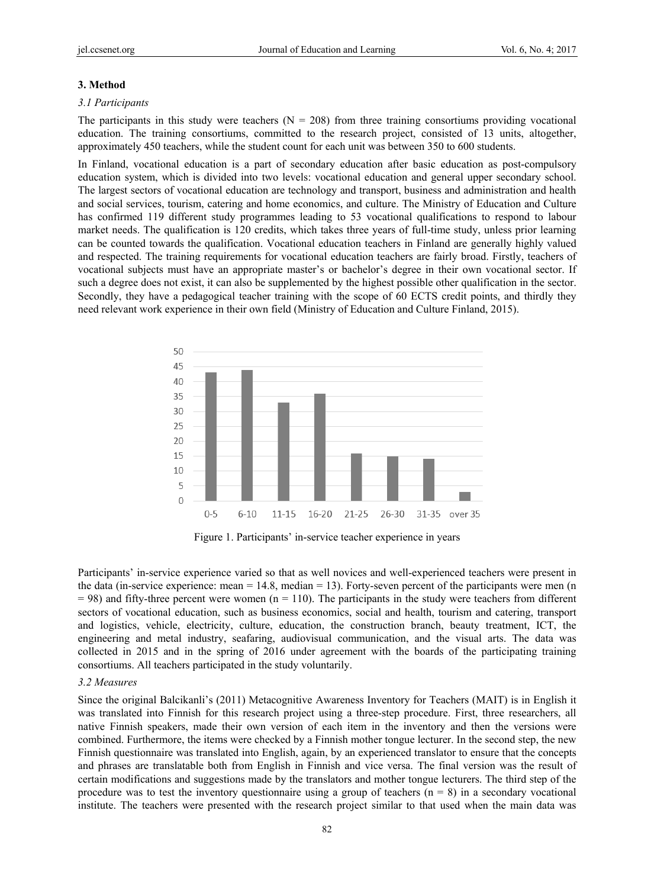#### **3. Method**

#### *3.1 Participants*

The participants in this study were teachers ( $N = 208$ ) from three training consortiums providing vocational education. The training consortiums, committed to the research project, consisted of 13 units, altogether, approximately 450 teachers, while the student count for each unit was between 350 to 600 students.

In Finland, vocational education is a part of secondary education after basic education as post-compulsory education system, which is divided into two levels: vocational education and general upper secondary school. The largest sectors of vocational education are technology and transport, business and administration and health and social services, tourism, catering and home economics, and culture. The Ministry of Education and Culture has confirmed 119 different study programmes leading to 53 vocational qualifications to respond to labour market needs. The qualification is 120 credits, which takes three years of full-time study, unless prior learning can be counted towards the qualification. Vocational education teachers in Finland are generally highly valued and respected. The training requirements for vocational education teachers are fairly broad. Firstly, teachers of vocational subjects must have an appropriate master's or bachelor's degree in their own vocational sector. If such a degree does not exist, it can also be supplemented by the highest possible other qualification in the sector. Secondly, they have a pedagogical teacher training with the scope of 60 ECTS credit points, and thirdly they need relevant work experience in their own field (Ministry of Education and Culture Finland, 2015).



Figure 1. Participants' in-service teacher experience in years

Participants' in-service experience varied so that as well novices and well-experienced teachers were present in the data (in-service experience: mean = 14.8, median = 13). Forty-seven percent of the participants were men (n  $= 98$ ) and fifty-three percent were women (n = 110). The participants in the study were teachers from different sectors of vocational education, such as business economics, social and health, tourism and catering, transport and logistics, vehicle, electricity, culture, education, the construction branch, beauty treatment, ICT, the engineering and metal industry, seafaring, audiovisual communication, and the visual arts. The data was collected in 2015 and in the spring of 2016 under agreement with the boards of the participating training consortiums. All teachers participated in the study voluntarily.

#### *3.2 Measures*

Since the original Balcikanli's (2011) Metacognitive Awareness Inventory for Teachers (MAIT) is in English it was translated into Finnish for this research project using a three-step procedure. First, three researchers, all native Finnish speakers, made their own version of each item in the inventory and then the versions were combined. Furthermore, the items were checked by a Finnish mother tongue lecturer. In the second step, the new Finnish questionnaire was translated into English, again, by an experienced translator to ensure that the concepts and phrases are translatable both from English in Finnish and vice versa. The final version was the result of certain modifications and suggestions made by the translators and mother tongue lecturers. The third step of the procedure was to test the inventory questionnaire using a group of teachers  $(n = 8)$  in a secondary vocational institute. The teachers were presented with the research project similar to that used when the main data was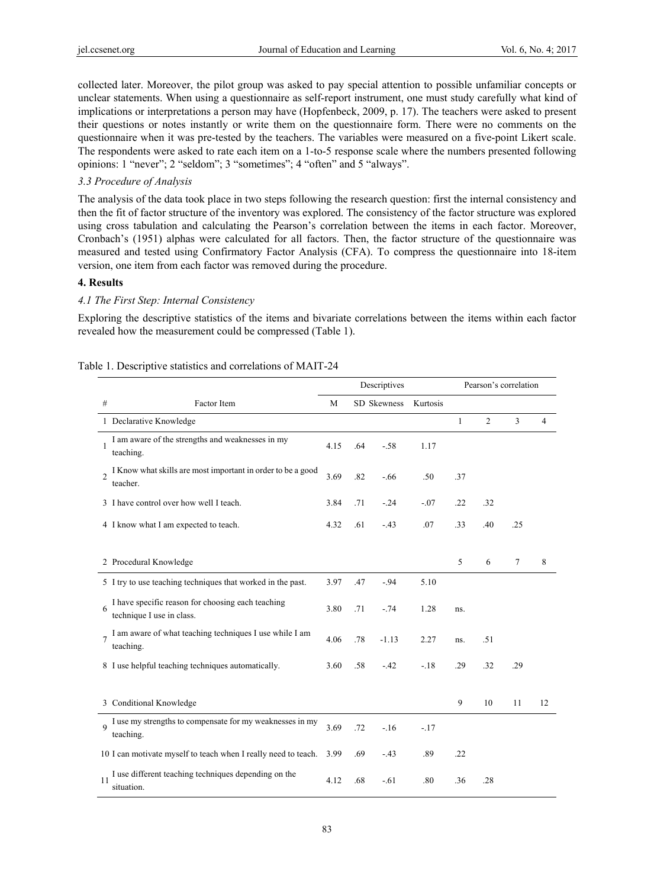collected later. Moreover, the pilot group was asked to pay special attention to possible unfamiliar concepts or unclear statements. When using a questionnaire as self-report instrument, one must study carefully what kind of implications or interpretations a person may have (Hopfenbeck, 2009, p. 17). The teachers were asked to present their questions or notes instantly or write them on the questionnaire form. There were no comments on the questionnaire when it was pre-tested by the teachers. The variables were measured on a five-point Likert scale. The respondents were asked to rate each item on a 1-to-5 response scale where the numbers presented following opinions: 1 "never"; 2 "seldom"; 3 "sometimes"; 4 "often" and 5 "always".

# *3.3 Procedure of Analysis*

The analysis of the data took place in two steps following the research question: first the internal consistency and then the fit of factor structure of the inventory was explored. The consistency of the factor structure was explored using cross tabulation and calculating the Pearson's correlation between the items in each factor. Moreover, Cronbach's (1951) alphas were calculated for all factors. Then, the factor structure of the questionnaire was measured and tested using Confirmatory Factor Analysis (CFA). To compress the questionnaire into 18-item version, one item from each factor was removed during the procedure.

## **4. Results**

# *4.1 The First Step: Internal Consistency*

Exploring the descriptive statistics of the items and bivariate correlations between the items within each factor revealed how the measurement could be compressed (Table 1).

## Table 1. Descriptive statistics and correlations of MAIT-24

|                |                                                                                |      |     | Descriptives | Pearson's correlation |              |                |     |    |  |
|----------------|--------------------------------------------------------------------------------|------|-----|--------------|-----------------------|--------------|----------------|-----|----|--|
| #              | Factor Item                                                                    | M    |     | SD Skewness  | Kurtosis              |              |                |     |    |  |
|                | 1 Declarative Knowledge                                                        |      |     |              |                       | $\mathbf{1}$ | $\overline{2}$ | 3   | 4  |  |
| 1              | I am aware of the strengths and weaknesses in my<br>teaching.                  | 4.15 | .64 | $-.58$       | 1.17                  |              |                |     |    |  |
| $\mathfrak{D}$ | I Know what skills are most important in order to be a good<br>teacher.        | 3.69 | .82 | $-.66$       | .50                   | .37          |                |     |    |  |
|                | 3 I have control over how well I teach.                                        | 3.84 | .71 | $-.24$       | $-.07$                | .22          | .32            |     |    |  |
|                | 4 I know what I am expected to teach.                                          | 4.32 | .61 | $-.43$       | .07                   | .33          | .40            | .25 |    |  |
|                |                                                                                |      |     |              |                       |              |                |     |    |  |
|                | 2 Procedural Knowledge                                                         |      |     |              |                       | 5            | 6              | 7   | 8  |  |
|                | 5 I try to use teaching techniques that worked in the past.                    | 3.97 | .47 | $-.94$       | 5.10                  |              |                |     |    |  |
| 6              | I have specific reason for choosing each teaching<br>technique I use in class. | 3.80 | .71 | $-.74$       | 1.28                  | ns.          |                |     |    |  |
|                | I am aware of what teaching techniques I use while I am<br>teaching.           | 4.06 | .78 | $-1.13$      | 2.27                  | ns.          | .51            |     |    |  |
|                | 8 I use helpful teaching techniques automatically.                             | 3.60 | .58 | $-42$        | $-.18$                | .29          | .32            | .29 |    |  |
|                |                                                                                |      |     |              |                       |              |                |     |    |  |
|                | 3 Conditional Knowledge                                                        |      |     |              |                       | 9            | 10             | 11  | 12 |  |
| $\overline{Q}$ | I use my strengths to compensate for my weaknesses in my<br>teaching.          | 3.69 | .72 | $-.16$       | $-.17$                |              |                |     |    |  |
|                | 10 I can motivate myself to teach when I really need to teach.                 | 3.99 | .69 | $-.43$       | .89                   | .22          |                |     |    |  |
| 11             | I use different teaching techniques depending on the<br>situation.             | 4.12 | .68 | $-.61$       | .80                   | .36          | .28            |     |    |  |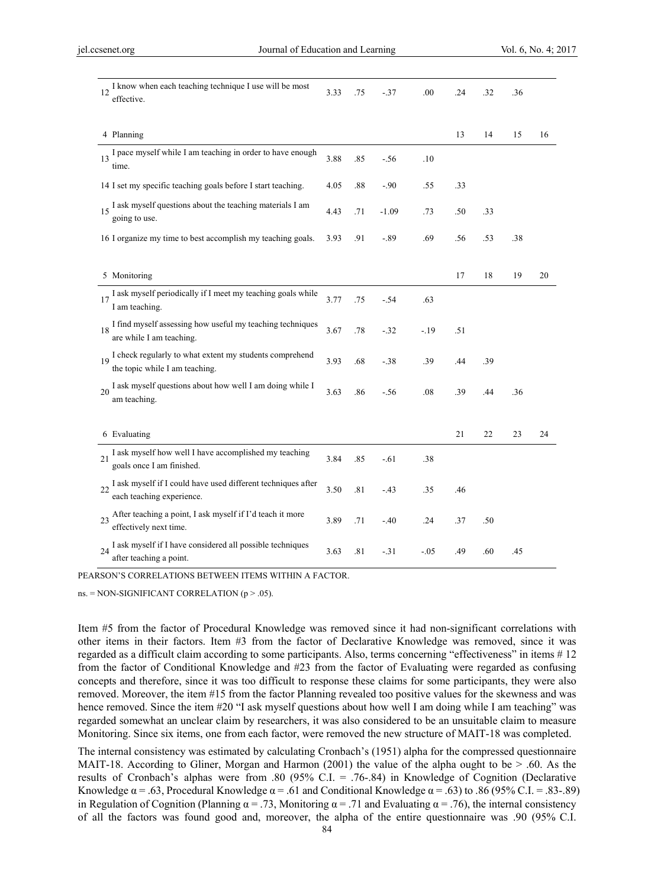| 12 | I know when each teaching technique I use will be most<br>effective.                      | 3.33 | .75 | $-37$   | .00     | .24 | .32 | .36 |    |
|----|-------------------------------------------------------------------------------------------|------|-----|---------|---------|-----|-----|-----|----|
|    | 4 Planning                                                                                |      |     |         |         | 13  | 14  | 15  | 16 |
| 13 | I pace myself while I am teaching in order to have enough<br>time.                        | 3.88 | .85 | $-.56$  | .10     |     |     |     |    |
|    | 14 I set my specific teaching goals before I start teaching.                              | 4.05 | .88 | $-.90$  | .55     | .33 |     |     |    |
|    | I ask myself questions about the teaching materials I am<br>going to use.                 | 4.43 | .71 | $-1.09$ | .73     | .50 | .33 |     |    |
|    | 16 I organize my time to best accomplish my teaching goals.                               | 3.93 | .91 | $-0.89$ | .69     | .56 | .53 | .38 |    |
|    |                                                                                           |      |     |         |         |     |     |     |    |
|    | 5 Monitoring                                                                              |      |     |         |         | 17  | 18  | 19  | 20 |
| 17 | I ask myself periodically if I meet my teaching goals while<br>I am teaching.             | 3.77 | .75 | $-.54$  | .63     |     |     |     |    |
| 18 | I find myself assessing how useful my teaching techniques<br>are while I am teaching.     | 3.67 | .78 | $-32$   | $-19$   | .51 |     |     |    |
| 19 | I check regularly to what extent my students comprehend<br>the topic while I am teaching. | 3.93 | .68 | $-.38$  | .39     | .44 | .39 |     |    |
| 20 | I ask myself questions about how well I am doing while I<br>am teaching.                  | 3.63 | .86 | $-.56$  | $.08\,$ | .39 | .44 | .36 |    |
|    |                                                                                           |      |     |         |         |     |     |     |    |
|    | 6 Evaluating                                                                              |      |     |         |         | 21  | 22  | 23  | 24 |
| 21 | I ask myself how well I have accomplished my teaching<br>goals once I am finished.        | 3.84 | .85 | $-.61$  | .38     |     |     |     |    |
| 22 | I ask myself if I could have used different techniques after<br>each teaching experience. | 3.50 | .81 | $-.43$  | .35     | .46 |     |     |    |
| 23 | After teaching a point, I ask myself if I'd teach it more<br>effectively next time.       | 3.89 | .71 | $-.40$  | .24     | .37 | .50 |     |    |
| 24 | I ask myself if I have considered all possible techniques<br>after teaching a point.      | 3.63 | .81 | $-31$   | $-.05$  | .49 | .60 | .45 |    |

PEARSON'S CORRELATIONS BETWEEN ITEMS WITHIN A FACTOR.

ns. = NON-SIGNIFICANT CORRELATION ( $p > .05$ ).

Item #5 from the factor of Procedural Knowledge was removed since it had non-significant correlations with other items in their factors. Item #3 from the factor of Declarative Knowledge was removed, since it was regarded as a difficult claim according to some participants. Also, terms concerning "effectiveness" in items # 12 from the factor of Conditional Knowledge and #23 from the factor of Evaluating were regarded as confusing concepts and therefore, since it was too difficult to response these claims for some participants, they were also removed. Moreover, the item #15 from the factor Planning revealed too positive values for the skewness and was hence removed. Since the item #20 "I ask myself questions about how well I am doing while I am teaching" was regarded somewhat an unclear claim by researchers, it was also considered to be an unsuitable claim to measure Monitoring. Since six items, one from each factor, were removed the new structure of MAIT-18 was completed.

The internal consistency was estimated by calculating Cronbach's (1951) alpha for the compressed questionnaire MAIT-18. According to Gliner, Morgan and Harmon (2001) the value of the alpha ought to be  $> 0.60$ . As the results of Cronbach's alphas were from .80 (95% C.I. = .76-.84) in Knowledge of Cognition (Declarative Knowledge  $\alpha = .63$ , Procedural Knowledge  $\alpha = .61$  and Conditional Knowledge  $\alpha = .63$ ) to .86 (95% C.I. = .83-.89) in Regulation of Cognition (Planning  $\alpha = .73$ , Monitoring  $\alpha = .71$  and Evaluating  $\alpha = .76$ ), the internal consistency of all the factors was found good and, moreover, the alpha of the entire questionnaire was .90 (95% C.I.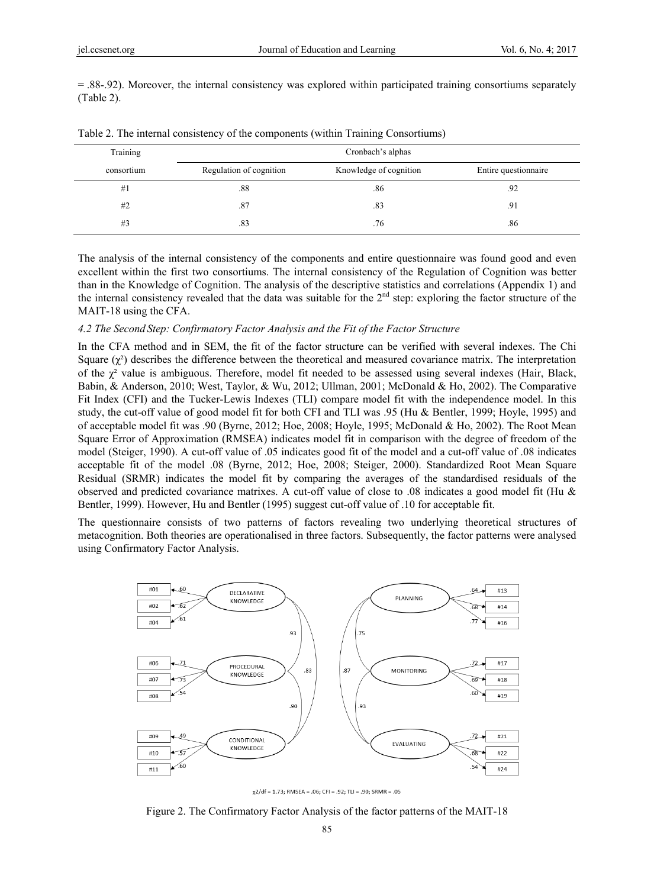$= 0.88-0.92$ . Moreover, the internal consistency was explored within participated training consortiums separately (Table 2).

| Training   |                         | Cronbach's alphas      |                      |
|------------|-------------------------|------------------------|----------------------|
| consortium | Regulation of cognition | Knowledge of cognition | Entire questionnaire |
| #1         | .88                     | .86                    | .92                  |
| #2         | .87                     | .83                    | .91                  |
| #3         | .83                     | .76                    | .86                  |

Table 2. The internal consistency of the components (within Training Consortiums)

The analysis of the internal consistency of the components and entire questionnaire was found good and even excellent within the first two consortiums. The internal consistency of the Regulation of Cognition was better than in the Knowledge of Cognition. The analysis of the descriptive statistics and correlations (Appendix 1) and the internal consistency revealed that the data was suitable for the  $2<sup>nd</sup>$  step: exploring the factor structure of the MAIT-18 using the CFA.

# *4.2 The Second Step: Confirmatory Factor Analysis and the Fit of the Factor Structure*

In the CFA method and in SEM, the fit of the factor structure can be verified with several indexes. The Chi Square  $(\gamma^2)$  describes the difference between the theoretical and measured covariance matrix. The interpretation of the  $\chi^2$  value is ambiguous. Therefore, model fit needed to be assessed using several indexes (Hair, Black, Babin, & Anderson, 2010; West, Taylor, & Wu, 2012; Ullman, 2001; McDonald & Ho, 2002). The Comparative Fit Index (CFI) and the Tucker-Lewis Indexes (TLI) compare model fit with the independence model. In this study, the cut-off value of good model fit for both CFI and TLI was .95 (Hu & Bentler, 1999; Hoyle, 1995) and of acceptable model fit was .90 (Byrne, 2012; Hoe, 2008; Hoyle, 1995; McDonald & Ho, 2002). The Root Mean Square Error of Approximation (RMSEA) indicates model fit in comparison with the degree of freedom of the model (Steiger, 1990). A cut-off value of .05 indicates good fit of the model and a cut-off value of .08 indicates acceptable fit of the model .08 (Byrne, 2012; Hoe, 2008; Steiger, 2000). Standardized Root Mean Square Residual (SRMR) indicates the model fit by comparing the averages of the standardised residuals of the observed and predicted covariance matrixes. A cut-off value of close to .08 indicates a good model fit (Hu & Bentler, 1999). However, Hu and Bentler (1995) suggest cut-off value of .10 for acceptable fit.

The questionnaire consists of two patterns of factors revealing two underlying theoretical structures of metacognition. Both theories are operationalised in three factors. Subsequently, the factor patterns were analysed using Confirmatory Factor Analysis.



 $\chi$ 2/df = 1.73; RMSEA = .06; CFI = .92; TLI = .90; SRMR = .05

Figure 2. The Confirmatory Factor Analysis of the factor patterns of the MAIT-18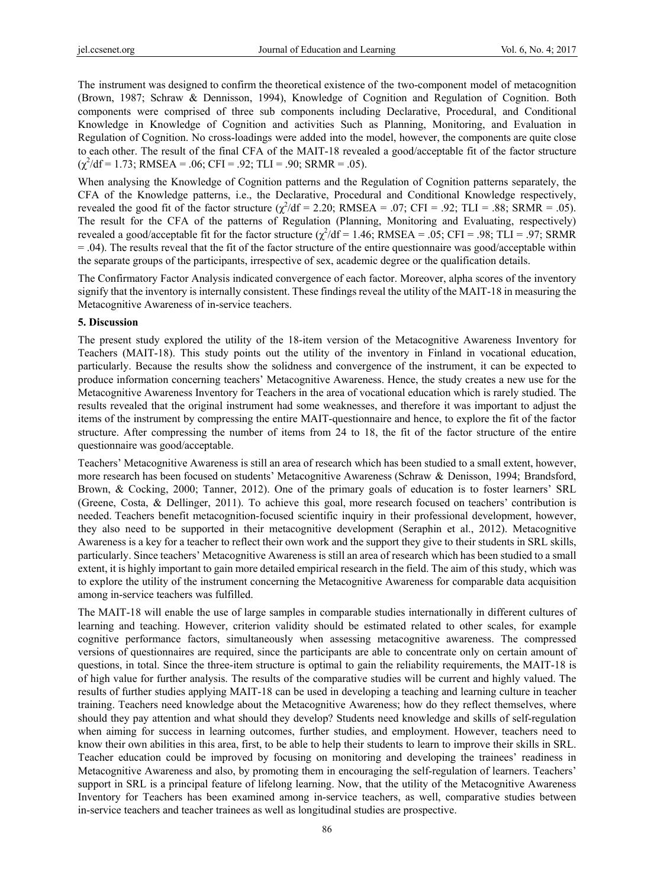The instrument was designed to confirm the theoretical existence of the two-component model of metacognition (Brown, 1987; Schraw & Dennisson, 1994), Knowledge of Cognition and Regulation of Cognition. Both components were comprised of three sub components including Declarative, Procedural, and Conditional Knowledge in Knowledge of Cognition and activities Such as Planning, Monitoring, and Evaluation in Regulation of Cognition. No cross-loadings were added into the model, however, the components are quite close to each other. The result of the final CFA of the MAIT-18 revealed a good/acceptable fit of the factor structure  $(\chi^2/df = 1.73; RMSEA = .06; CFI = .92; TLI = .90; SRMR = .05).$ 

When analysing the Knowledge of Cognition patterns and the Regulation of Cognition patterns separately, the CFA of the Knowledge patterns, i.e., the Declarative, Procedural and Conditional Knowledge respectively, revealed the good fit of the factor structure  $(\chi^2/df = 2.20)$ ; RMSEA = .07; CFI = .92; TLI = .88; SRMR = .05). The result for the CFA of the patterns of Regulation (Planning, Monitoring and Evaluating, respectively) revealed a good/acceptable fit for the factor structure  $(\chi^2/df = 1.46)$ ; RMSEA = .05; CFI = .98; TLI = .97; SRMR  $=$  .04). The results reveal that the fit of the factor structure of the entire questionnaire was good/acceptable within the separate groups of the participants, irrespective of sex, academic degree or the qualification details.

The Confirmatory Factor Analysis indicated convergence of each factor. Moreover, alpha scores of the inventory signify that the inventory is internally consistent. These findings reveal the utility of the MAIT-18 in measuring the Metacognitive Awareness of in-service teachers.

# **5. Discussion**

The present study explored the utility of the 18-item version of the Metacognitive Awareness Inventory for Teachers (MAIT-18). This study points out the utility of the inventory in Finland in vocational education, particularly. Because the results show the solidness and convergence of the instrument, it can be expected to produce information concerning teachers' Metacognitive Awareness. Hence, the study creates a new use for the Metacognitive Awareness Inventory for Teachers in the area of vocational education which is rarely studied. The results revealed that the original instrument had some weaknesses, and therefore it was important to adjust the items of the instrument by compressing the entire MAIT-questionnaire and hence, to explore the fit of the factor structure. After compressing the number of items from 24 to 18, the fit of the factor structure of the entire questionnaire was good/acceptable.

Teachers' Metacognitive Awareness is still an area of research which has been studied to a small extent, however, more research has been focused on students' Metacognitive Awareness (Schraw & Denisson, 1994; Brandsford, Brown, & Cocking, 2000; Tanner, 2012). One of the primary goals of education is to foster learners' SRL (Greene, Costa, & Dellinger, 2011). To achieve this goal, more research focused on teachers' contribution is needed. Teachers benefit metacognition-focused scientific inquiry in their professional development, however, they also need to be supported in their metacognitive development (Seraphin et al., 2012). Metacognitive Awareness is a key for a teacher to reflect their own work and the support they give to their students in SRL skills, particularly. Since teachers' Metacognitive Awareness is still an area of research which has been studied to a small extent, it is highly important to gain more detailed empirical research in the field. The aim of this study, which was to explore the utility of the instrument concerning the Metacognitive Awareness for comparable data acquisition among in-service teachers was fulfilled.

The MAIT-18 will enable the use of large samples in comparable studies internationally in different cultures of learning and teaching. However, criterion validity should be estimated related to other scales, for example cognitive performance factors, simultaneously when assessing metacognitive awareness. The compressed versions of questionnaires are required, since the participants are able to concentrate only on certain amount of questions, in total. Since the three-item structure is optimal to gain the reliability requirements, the MAIT-18 is of high value for further analysis. The results of the comparative studies will be current and highly valued. The results of further studies applying MAIT-18 can be used in developing a teaching and learning culture in teacher training. Teachers need knowledge about the Metacognitive Awareness; how do they reflect themselves, where should they pay attention and what should they develop? Students need knowledge and skills of self-regulation when aiming for success in learning outcomes, further studies, and employment. However, teachers need to know their own abilities in this area, first, to be able to help their students to learn to improve their skills in SRL. Teacher education could be improved by focusing on monitoring and developing the trainees' readiness in Metacognitive Awareness and also, by promoting them in encouraging the self-regulation of learners. Teachers' support in SRL is a principal feature of lifelong learning. Now, that the utility of the Metacognitive Awareness Inventory for Teachers has been examined among in-service teachers, as well, comparative studies between in-service teachers and teacher trainees as well as longitudinal studies are prospective.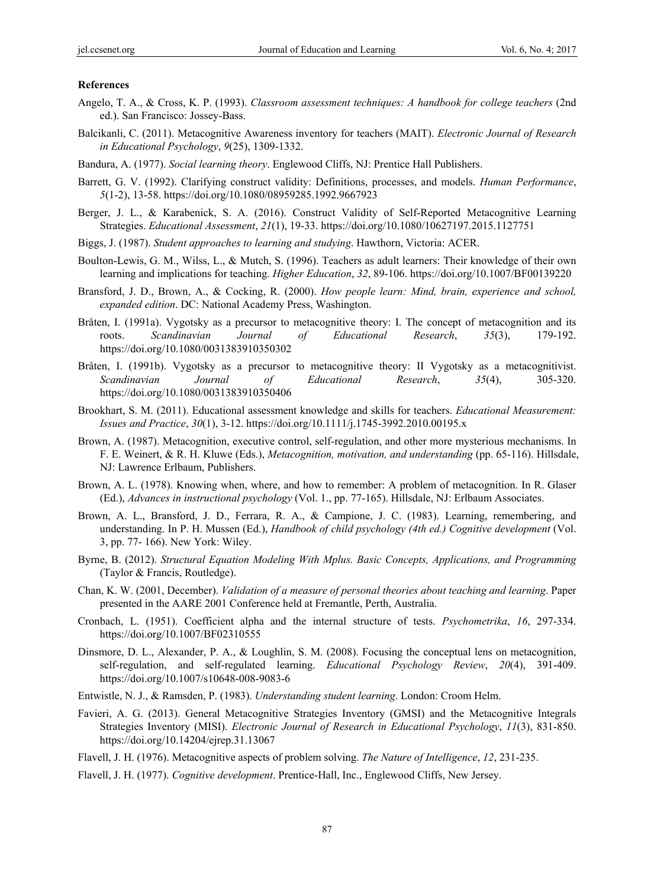## **References**

- Angelo, T. A., & Cross, K. P. (1993). *Classroom assessment techniques: A handbook for college teachers* (2nd ed.). San Francisco: Jossey-Bass.
- Balcikanli, C. (2011). Metacognitive Awareness inventory for teachers (MAIT). *Electronic Journal of Research in Educational Psychology*, *9*(25), 1309-1332.
- Bandura, A. (1977). *Social learning theory*. Englewood Cliffs, NJ: Prentice Hall Publishers.
- Barrett, G. V. (1992). Clarifying construct validity: Definitions, processes, and models. *Human Performance*, *5*(1-2), 13-58. https://doi.org/10.1080/08959285.1992.9667923
- Berger, J. L., & Karabenick, S. A. (2016). Construct Validity of Self-Reported Metacognitive Learning Strategies. *Educational Assessment*, *21*(1), 19-33. https://doi.org/10.1080/10627197.2015.1127751
- Biggs, J. (1987). *Student approaches to learning and studying*. Hawthorn, Victoria: ACER.
- Boulton-Lewis, G. M., Wilss, L., & Mutch, S. (1996). Teachers as adult learners: Their knowledge of their own learning and implications for teaching. *Higher Education*, *32*, 89-106. https://doi.org/10.1007/BF00139220
- Bransford, J. D., Brown, A., & Cocking, R. (2000). *How people learn: Mind, brain, experience and school, expanded edition*. DC: National Academy Press, Washington.
- Bråten, I. (1991a). Vygotsky as a precursor to metacognitive theory: I. The concept of metacognition and its roots. *Scandinavian Journal of Educational Research*, *35*(3), 179-192. https://doi.org/10.1080/0031383910350302
- Bråten, I. (1991b). Vygotsky as a precursor to metacognitive theory: II Vygotsky as a metacognitivist. *Scandinavian Journal of Educational Research*, *35*(4), 305-320. https://doi.org/10.1080/0031383910350406
- Brookhart, S. M. (2011). Educational assessment knowledge and skills for teachers. *Educational Measurement: Issues and Practice*, *30*(1), 3-12. https://doi.org/10.1111/j.1745-3992.2010.00195.x
- Brown, A. (1987). Metacognition, executive control, self-regulation, and other more mysterious mechanisms. In F. E. Weinert, & R. H. Kluwe (Eds.), *Metacognition, motivation, and understanding* (pp. 65-116). Hillsdale, NJ: Lawrence Erlbaum, Publishers.
- Brown, A. L. (1978). Knowing when, where, and how to remember: A problem of metacognition. In R. Glaser (Ed.), *Advances in instructional psychology* (Vol. 1., pp. 77-165). Hillsdale, NJ: Erlbaum Associates.
- Brown, A. L., Bransford, J. D., Ferrara, R. A., & Campione, J. C. (1983). Learning, remembering, and understanding. In P. H. Mussen (Ed.), *Handbook of child psychology (4th ed.) Cognitive development* (Vol. 3, pp. 77- 166). New York: Wiley.
- Byrne, B. (2012). *Structural Equation Modeling With Mplus. Basic Concepts, Applications, and Programming*  (Taylor & Francis, Routledge).
- Chan, K. W. (2001, December). *Validation of a measure of personal theories about teaching and learning*. Paper presented in the AARE 2001 Conference held at Fremantle, Perth, Australia.
- Cronbach, L. (1951). Coefficient alpha and the internal structure of tests. *Psychometrika*, *16*, 297-334. https://doi.org/10.1007/BF02310555
- Dinsmore, D. L., Alexander, P. A., & Loughlin, S. M. (2008). Focusing the conceptual lens on metacognition, self-regulation, and self-regulated learning. *Educational Psychology Review*, *20*(4), 391-409. https://doi.org/10.1007/s10648-008-9083-6
- Entwistle, N. J., & Ramsden, P. (1983). *Understanding student learning*. London: Croom Helm.
- Favieri, A. G. (2013). General Metacognitive Strategies Inventory (GMSI) and the Metacognitive Integrals Strategies Inventory (MISI). *Electronic Journal of Research in Educational Psychology*, *11*(3), 831-850. https://doi.org/10.14204/ejrep.31.13067
- Flavell, J. H. (1976). Metacognitive aspects of problem solving. *The Nature of Intelligence*, *12*, 231-235.
- Flavell, J. H. (1977). *Cognitive development*. Prentice-Hall, Inc., Englewood Cliffs, New Jersey.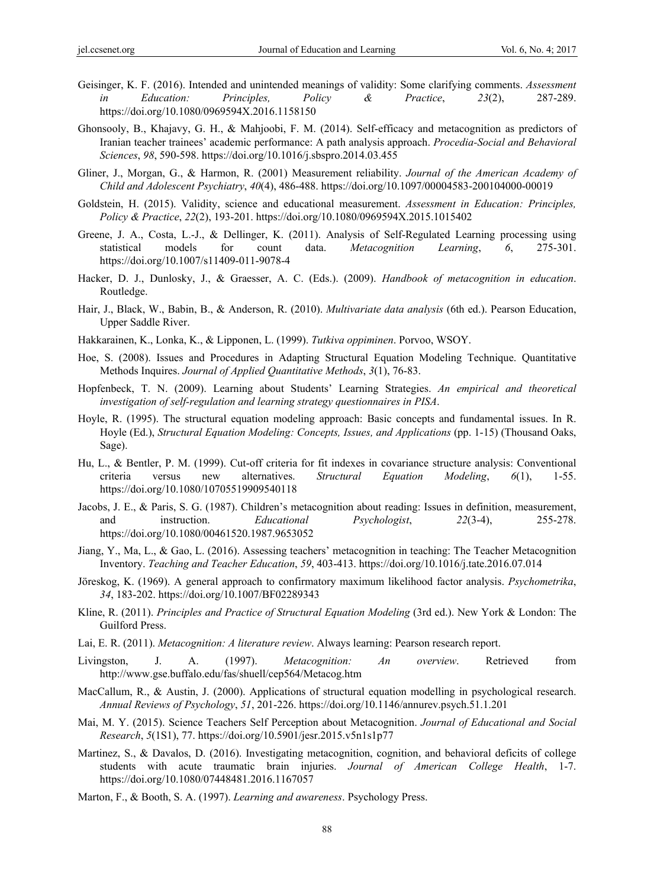- Geisinger, K. F. (2016). Intended and unintended meanings of validity: Some clarifying comments. *Assessment in Education: Principles, Policy & Practice*, *23*(2), 287-289. https://doi.org/10.1080/0969594X.2016.1158150
- Ghonsooly, B., Khajavy, G. H., & Mahjoobi, F. M. (2014). Self-efficacy and metacognition as predictors of Iranian teacher trainees' academic performance: A path analysis approach. *Procedia-Social and Behavioral Sciences*, *98*, 590-598. https://doi.org/10.1016/j.sbspro.2014.03.455
- Gliner, J., Morgan, G., & Harmon, R. (2001) Measurement reliability. *Journal of the American Academy of Child and Adolescent Psychiatry*, *40*(4), 486-488. https://doi.org/10.1097/00004583-200104000-00019
- Goldstein, H. (2015). Validity, science and educational measurement. *Assessment in Education: Principles, Policy & Practice*, *22*(2), 193-201. https://doi.org/10.1080/0969594X.2015.1015402
- Greene, J. A., Costa, L.-J., & Dellinger, K. (2011). Analysis of Self-Regulated Learning processing using statistical models for count data. *Metacognition Learning*, *6*, 275-301. https://doi.org/10.1007/s11409-011-9078-4
- Hacker, D. J., Dunlosky, J., & Graesser, A. C. (Eds.). (2009). *Handbook of metacognition in education*. Routledge.
- Hair, J., Black, W., Babin, B., & Anderson, R. (2010). *Multivariate data analysis* (6th ed.). Pearson Education, Upper Saddle River.
- Hakkarainen, K., Lonka, K., & Lipponen, L. (1999). *Tutkiva oppiminen*. Porvoo, WSOY.
- Hoe, S. (2008). Issues and Procedures in Adapting Structural Equation Modeling Technique. Quantitative Methods Inquires. *Journal of Applied Quantitative Methods*, *3*(1), 76-83.
- Hopfenbeck, T. N. (2009). Learning about Students' Learning Strategies. *An empirical and theoretical investigation of self-regulation and learning strategy questionnaires in PISA*.
- Hoyle, R. (1995). The structural equation modeling approach: Basic concepts and fundamental issues. In R. Hoyle (Ed.), *Structural Equation Modeling: Concepts, Issues, and Applications* (pp. 1-15) (Thousand Oaks, Sage).
- Hu, L., & Bentler, P. M. (1999). Cut-off criteria for fit indexes in covariance structure analysis: Conventional criteria versus new alternatives. *Structural Equation Modeling*, *6*(1), 1-55. https://doi.org/10.1080/10705519909540118
- Jacobs, J. E., & Paris, S. G. (1987). Children's metacognition about reading: Issues in definition, measurement, and instruction. *Educational Psychologist*, *22*(3-4), 255-278. https://doi.org/10.1080/00461520.1987.9653052
- Jiang, Y., Ma, L., & Gao, L. (2016). Assessing teachers' metacognition in teaching: The Teacher Metacognition Inventory. *Teaching and Teacher Education*, *59*, 403-413. https://doi.org/10.1016/j.tate.2016.07.014
- Jöreskog, K. (1969). A general approach to confirmatory maximum likelihood factor analysis. *Psychometrika*, *34*, 183-202. https://doi.org/10.1007/BF02289343
- Kline, R. (2011). *Principles and Practice of Structural Equation Modeling* (3rd ed.). New York & London: The Guilford Press.
- Lai, E. R. (2011). *Metacognition: A literature review*. Always learning: Pearson research report.
- Livingston, J. A. (1997). *Metacognition: An overview*. Retrieved from http://www.gse.buffalo.edu/fas/shuell/cep564/Metacog.htm
- MacCallum, R., & Austin, J. (2000). Applications of structural equation modelling in psychological research. *Annual Reviews of Psychology*, *51*, 201-226. https://doi.org/10.1146/annurev.psych.51.1.201
- Mai, M. Y. (2015). Science Teachers Self Perception about Metacognition. *Journal of Educational and Social Research*, *5*(1S1), 77. https://doi.org/10.5901/jesr.2015.v5n1s1p77
- Martinez, S., & Davalos, D. (2016). Investigating metacognition, cognition, and behavioral deficits of college students with acute traumatic brain injuries. *Journal of American College Health*, 1-7. https://doi.org/10.1080/07448481.2016.1167057
- Marton, F., & Booth, S. A. (1997). *Learning and awareness*. Psychology Press.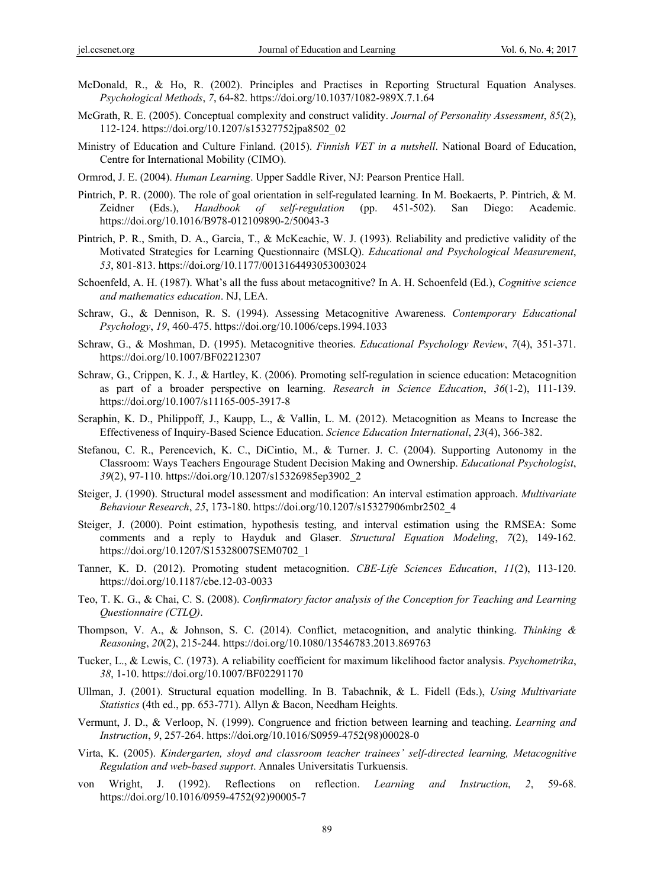- McDonald, R., & Ho, R. (2002). Principles and Practises in Reporting Structural Equation Analyses. *Psychological Methods*, *7*, 64-82. https://doi.org/10.1037/1082-989X.7.1.64
- McGrath, R. E. (2005). Conceptual complexity and construct validity. *Journal of Personality Assessment*, *85*(2), 112-124. https://doi.org/10.1207/s15327752jpa8502\_02
- Ministry of Education and Culture Finland. (2015). *Finnish VET in a nutshell*. National Board of Education, Centre for International Mobility (CIMO).
- Ormrod, J. E. (2004). *Human Learning*. Upper Saddle River, NJ: Pearson Prentice Hall.
- Pintrich, P. R. (2000). The role of goal orientation in self-regulated learning. In M. Boekaerts, P. Pintrich, & M. Zeidner (Eds.), *Handbook of self-regulation* (pp. 451-502). San Diego: Academic. https://doi.org/10.1016/B978-012109890-2/50043-3
- Pintrich, P. R., Smith, D. A., Garcia, T., & McKeachie, W. J. (1993). Reliability and predictive validity of the Motivated Strategies for Learning Questionnaire (MSLQ). *Educational and Psychological Measurement*, *53*, 801-813. https://doi.org/10.1177/0013164493053003024
- Schoenfeld, A. H. (1987). What's all the fuss about metacognitive? In A. H. Schoenfeld (Ed.), *Cognitive science and mathematics education*. NJ, LEA.
- Schraw, G., & Dennison, R. S. (1994). Assessing Metacognitive Awareness. *Contemporary Educational Psychology*, *19*, 460-475. https://doi.org/10.1006/ceps.1994.1033
- Schraw, G., & Moshman, D. (1995). Metacognitive theories. *Educational Psychology Review*, *7*(4), 351-371. https://doi.org/10.1007/BF02212307
- Schraw, G., Crippen, K. J., & Hartley, K. (2006). Promoting self-regulation in science education: Metacognition as part of a broader perspective on learning. *Research in Science Education*, *36*(1-2), 111-139. https://doi.org/10.1007/s11165-005-3917-8
- Seraphin, K. D., Philippoff, J., Kaupp, L., & Vallin, L. M. (2012). Metacognition as Means to Increase the Effectiveness of Inquiry-Based Science Education. *Science Education International*, *23*(4), 366-382.
- Stefanou, C. R., Perencevich, K. C., DiCintio, M., & Turner. J. C. (2004). Supporting Autonomy in the Classroom: Ways Teachers Engourage Student Decision Making and Ownership. *Educational Psychologist*, *39*(2), 97-110. https://doi.org/10.1207/s15326985ep3902\_2
- Steiger, J. (1990). Structural model assessment and modification: An interval estimation approach. *Multivariate Behaviour Research*, *25*, 173-180. https://doi.org/10.1207/s15327906mbr2502\_4
- Steiger, J. (2000). Point estimation, hypothesis testing, and interval estimation using the RMSEA: Some comments and a reply to Hayduk and Glaser. *Structural Equation Modeling*, *7*(2), 149-162. https://doi.org/10.1207/S15328007SEM0702\_1
- Tanner, K. D. (2012). Promoting student metacognition. *CBE-Life Sciences Education*, *11*(2), 113-120. https://doi.org/10.1187/cbe.12-03-0033
- Teo, T. K. G., & Chai, C. S. (2008). *Confirmatory factor analysis of the Conception for Teaching and Learning Questionnaire (CTLQ)*.
- Thompson, V. A., & Johnson, S. C. (2014). Conflict, metacognition, and analytic thinking. *Thinking & Reasoning*, *20*(2), 215-244. https://doi.org/10.1080/13546783.2013.869763
- Tucker, L., & Lewis, C. (1973). A reliability coefficient for maximum likelihood factor analysis. *Psychometrika*, *38*, 1-10. https://doi.org/10.1007/BF02291170
- Ullman, J. (2001). Structural equation modelling. In B. Tabachnik, & L. Fidell (Eds.), *Using Multivariate Statistics* (4th ed., pp. 653-771). Allyn & Bacon, Needham Heights.
- Vermunt, J. D., & Verloop, N. (1999). Congruence and friction between learning and teaching. *Learning and Instruction*, *9*, 257-264. https://doi.org/10.1016/S0959-4752(98)00028-0
- Virta, K. (2005). *Kindergarten, sloyd and classroom teacher trainees' self-directed learning, Metacognitive Regulation and web-based support*. Annales Universitatis Turkuensis.
- von Wright, J. (1992). Reflections on reflection. *Learning and Instruction*, *2*, 59-68. https://doi.org/10.1016/0959-4752(92)90005-7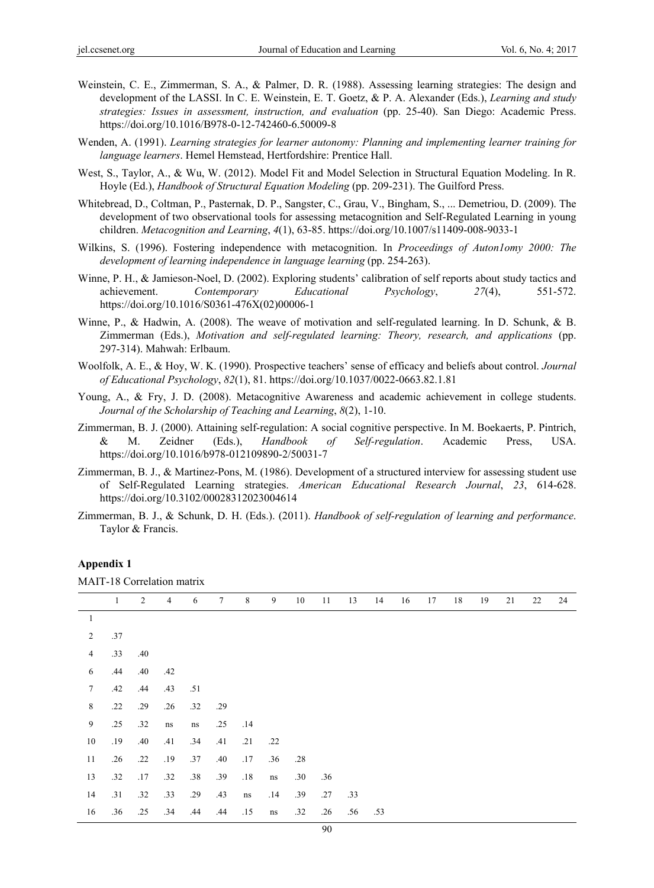- Weinstein, C. E., Zimmerman, S. A., & Palmer, D. R. (1988). Assessing learning strategies: The design and development of the LASSI. In C. E. Weinstein, E. T. Goetz, & P. A. Alexander (Eds.), *Learning and study strategies: Issues in assessment, instruction, and evaluation* (pp. 25-40). San Diego: Academic Press. https://doi.org/10.1016/B978-0-12-742460-6.50009-8
- Wenden, A. (1991). *Learning strategies for learner autonomy: Planning and implementing learner training for language learners*. Hemel Hemstead, Hertfordshire: Prentice Hall.
- West, S., Taylor, A., & Wu, W. (2012). Model Fit and Model Selection in Structural Equation Modeling. In R. Hoyle (Ed.), *Handbook of Structural Equation Modeling* (pp. 209-231). The Guilford Press.
- Whitebread, D., Coltman, P., Pasternak, D. P., Sangster, C., Grau, V., Bingham, S., ... Demetriou, D. (2009). The development of two observational tools for assessing metacognition and Self-Regulated Learning in young children. *Metacognition and Learning*, *4*(1), 63-85. https://doi.org/10.1007/s11409-008-9033-1
- Wilkins, S. (1996). Fostering independence with metacognition. In *Proceedings of Auton1omy 2000: The development of learning independence in language learning* (pp. 254-263).
- Winne, P. H., & Jamieson-Noel, D. (2002). Exploring students' calibration of self reports about study tactics and achievement. *Contemporary Educational Psychology*, *27*(4), 551-572. https://doi.org/10.1016/S0361-476X(02)00006-1
- Winne, P., & Hadwin, A. (2008). The weave of motivation and self-regulated learning. In D. Schunk, & B. Zimmerman (Eds.), *Motivation and self-regulated learning: Theory, research, and applications* (pp. 297-314). Mahwah: Erlbaum.
- Woolfolk, A. E., & Hoy, W. K. (1990). Prospective teachers' sense of efficacy and beliefs about control. *Journal of Educational Psychology*, *82*(1), 81. https://doi.org/10.1037/0022-0663.82.1.81
- Young, A., & Fry, J. D. (2008). Metacognitive Awareness and academic achievement in college students. *Journal of the Scholarship of Teaching and Learning*, *8*(2), 1-10.
- Zimmerman, B. J. (2000). Attaining self-regulation: A social cognitive perspective. In M. Boekaerts, P. Pintrich, & M. Zeidner (Eds.), *Handbook of Self-regulation*. Academic Press, USA. https://doi.org/10.1016/b978-012109890-2/50031-7
- Zimmerman, B. J., & Martinez-Pons, M. (1986). Development of a structured interview for assessing student use of Self-Regulated Learning strategies. *American Educational Research Journal*, *23*, 614-628. https://doi.org/10.3102/00028312023004614
- Zimmerman, B. J., & Schunk, D. H. (Eds.). (2011). *Handbook of self-regulation of learning and performance*. Taylor & Francis.

### **Appendix 1**

MAIT-18 Correlation matrix

|                | 1   | 2   | 4        | 6        | $\tau$ | 8        | 9        | 10  | 11  | 13  | 14  | 16 | 17 | 18 | 19 | 21 | 22 | 24 |
|----------------|-----|-----|----------|----------|--------|----------|----------|-----|-----|-----|-----|----|----|----|----|----|----|----|
| 1              |     |     |          |          |        |          |          |     |     |     |     |    |    |    |    |    |    |    |
| $\overline{2}$ | .37 |     |          |          |        |          |          |     |     |     |     |    |    |    |    |    |    |    |
| 4              | .33 | .40 |          |          |        |          |          |     |     |     |     |    |    |    |    |    |    |    |
| 6              | .44 | .40 | .42      |          |        |          |          |     |     |     |     |    |    |    |    |    |    |    |
| $\tau$         | .42 | .44 | .43      | .51      |        |          |          |     |     |     |     |    |    |    |    |    |    |    |
| 8              | .22 | .29 | .26      | .32      | .29    |          |          |     |     |     |     |    |    |    |    |    |    |    |
| 9              | .25 | .32 | $\rm ns$ | $\rm ns$ | .25    | .14      |          |     |     |     |     |    |    |    |    |    |    |    |
| 10             | .19 | .40 | .41      | .34      | .41    | .21      | .22      |     |     |     |     |    |    |    |    |    |    |    |
| 11             | .26 | .22 | .19      | .37      | .40    | .17      | .36      | .28 |     |     |     |    |    |    |    |    |    |    |
| 13             | .32 | .17 | .32      | .38      | .39    | .18      | $\rm ns$ | .30 | .36 |     |     |    |    |    |    |    |    |    |
| 14             | .31 | .32 | .33      | .29      | .43    | $\rm ns$ | .14      | .39 | .27 | .33 |     |    |    |    |    |    |    |    |
| 16             | .36 | .25 | .34      | .44      | .44    | .15      | ns       | .32 | .26 | .56 | .53 |    |    |    |    |    |    |    |